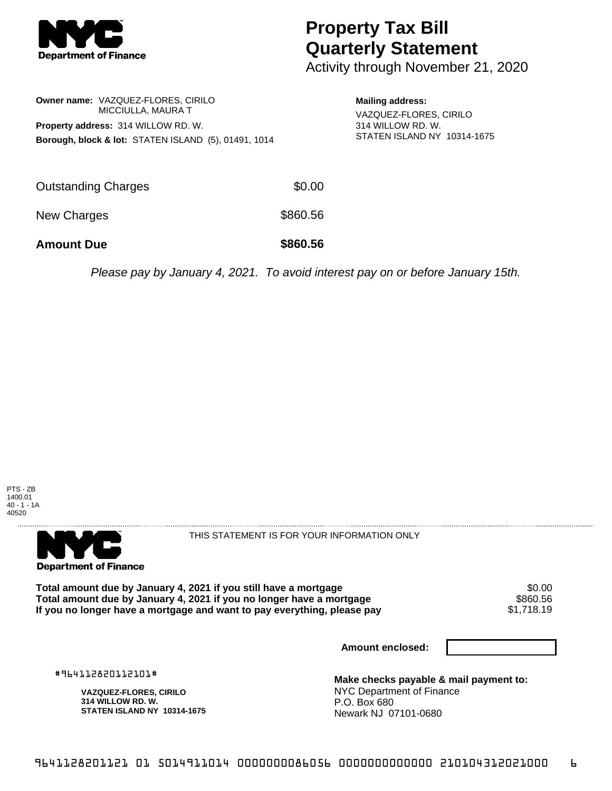

## **Property Tax Bill Quarterly Statement**

Activity through November 21, 2020

**Owner name:** VAZQUEZ-FLORES, CIRILO MICCIULLA, MAURA T **Property address:** 314 WILLOW RD. W. **Borough, block & lot:** STATEN ISLAND (5), 01491, 1014 **Mailing address:** VAZQUEZ-FLORES, CIRILO 314 WILLOW RD. W. STATEN ISLAND NY 10314-1675

| <b>Amount Due</b>          | \$860.56 |
|----------------------------|----------|
| New Charges                | \$860.56 |
| <b>Outstanding Charges</b> | \$0.00   |

Please pay by January 4, 2021. To avoid interest pay on or before January 15th.





THIS STATEMENT IS FOR YOUR INFORMATION ONLY

Total amount due by January 4, 2021 if you still have a mortgage \$0.00<br>Total amount due by January 4, 2021 if you no longer have a mortgage \$860.56 **Total amount due by January 4, 2021 if you no longer have a mortgage \$860.56<br>If you no longer have a mortgage and want to pay everything, please pay \$1,718,19** If you no longer have a mortgage and want to pay everything, please pay

**Amount enclosed:**

#964112820112101#

**VAZQUEZ-FLORES, CIRILO 314 WILLOW RD. W. STATEN ISLAND NY 10314-1675**

**Make checks payable & mail payment to:** NYC Department of Finance P.O. Box 680 Newark NJ 07101-0680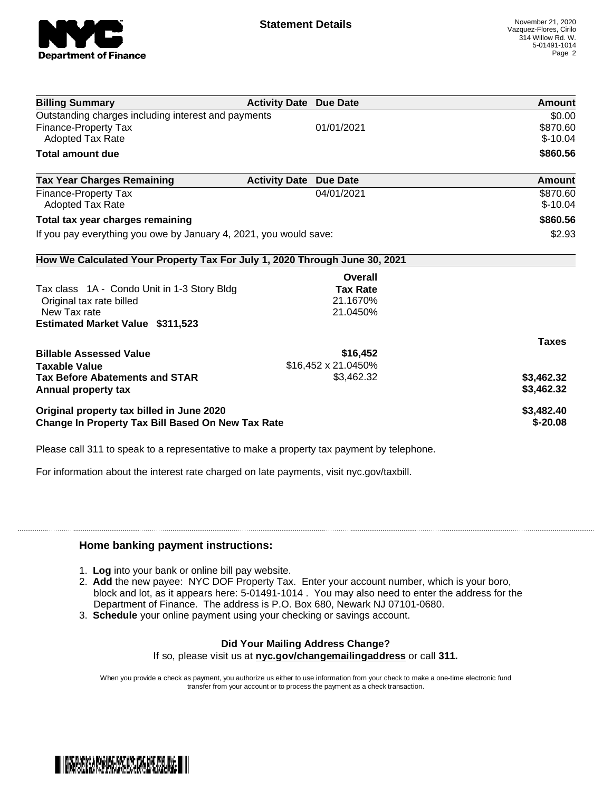

| <b>Billing Summary</b>                                                     | <b>Activity Date Due Date</b> |                     | Amount        |
|----------------------------------------------------------------------------|-------------------------------|---------------------|---------------|
| Outstanding charges including interest and payments                        |                               |                     | \$0.00        |
| <b>Finance-Property Tax</b>                                                |                               | 01/01/2021          | \$870.60      |
| <b>Adopted Tax Rate</b>                                                    |                               |                     | $$-10.04$     |
| <b>Total amount due</b>                                                    |                               |                     | \$860.56      |
| <b>Tax Year Charges Remaining</b>                                          | <b>Activity Date</b>          | <b>Due Date</b>     | <b>Amount</b> |
| Finance-Property Tax                                                       |                               | 04/01/2021          | \$870.60      |
| <b>Adopted Tax Rate</b>                                                    |                               |                     | $$-10.04$     |
| Total tax year charges remaining                                           |                               |                     | \$860.56      |
| If you pay everything you owe by January 4, 2021, you would save:          |                               |                     | \$2.93        |
| How We Calculated Your Property Tax For July 1, 2020 Through June 30, 2021 |                               |                     |               |
|                                                                            |                               | Overall             |               |
| Tax class 1A - Condo Unit in 1-3 Story Bldg                                |                               | <b>Tax Rate</b>     |               |
| Original tax rate billed                                                   |                               | 21.1670%            |               |
| New Tax rate                                                               |                               | 21.0450%            |               |
| <b>Estimated Market Value \$311,523</b>                                    |                               |                     |               |
|                                                                            |                               |                     | <b>Taxes</b>  |
| <b>Billable Assessed Value</b>                                             |                               | \$16,452            |               |
| <b>Taxable Value</b>                                                       |                               | \$16,452 x 21.0450% |               |
| <b>Tax Before Abatements and STAR</b>                                      |                               | \$3,462.32          | \$3,462.32    |
| Annual property tax                                                        |                               |                     | \$3,462.32    |
| Original property tax billed in June 2020                                  |                               |                     | \$3,482.40    |
| <b>Change In Property Tax Bill Based On New Tax Rate</b>                   |                               |                     | $$ -20.08$    |

Please call 311 to speak to a representative to make a property tax payment by telephone.

For information about the interest rate charged on late payments, visit nyc.gov/taxbill.

## **Home banking payment instructions:**

- 1. **Log** into your bank or online bill pay website.
- 2. **Add** the new payee: NYC DOF Property Tax. Enter your account number, which is your boro, block and lot, as it appears here: 5-01491-1014 . You may also need to enter the address for the Department of Finance. The address is P.O. Box 680, Newark NJ 07101-0680.
- 3. **Schedule** your online payment using your checking or savings account.

## **Did Your Mailing Address Change?**

If so, please visit us at **nyc.gov/changemailingaddress** or call **311.**

When you provide a check as payment, you authorize us either to use information from your check to make a one-time electronic fund transfer from your account or to process the payment as a check transaction.